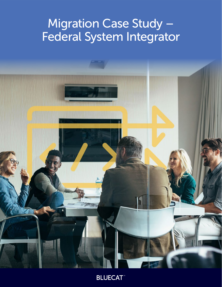# Migration Case Study – Federal System Integrator



**BLUECAT**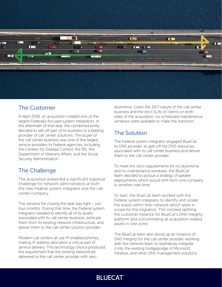

#### The Customer

In April 2018, an acquisition created one of the largest Federally-focused system integrators. In the aftermath of that deal, the combined entity decided to sell off part of its business to a leading provider of call center solutions. The buyer of the call center business was one of the largest service providers to Federal agencies, including the Centers for Disease Control, the IRS, the Department of Veterans Affairs, and the Social Security Administration.

## The Challenge

The acquisition presented a significant logistical challenge for network administrators at both the new Federal system integrator and the call center company.

The window for closing the deal was tight – just four months. During that time, the Federal system integrator needed to identify all of its assets associated with its call center business, extricate them from its existing network infrastructure, and deliver them to the call center solution provider.

Modern call centers all use IP-enabled phones, making IP address allocation a critical part of service delivery. This technology choice produced the requirement that the existing network be delivered to the call center provider with zero

downtime. Given the 24/7 nature of the call center business and the strict SLAs of clients on both sides of the acquisition, no scheduled maintenance windows were available to make the transition.

## The Solution

The Federal system integrator engaged BlueCat, its DNS provider, to split off the DNS resources associated with its call center business and deliver them to the call center provider.

To meet the strict requirements for no downtime and no maintenance windows, the BlueCat team decided to pursue a strategy of parallel deployments which would shift from one company to another over time.

To start, the BlueCat team worked with the Federal system integrator to identify and isolate the assets within their network which were in scope for the migration. This involved splitting the customer instance for BlueCat's DNS Integrity platform and concentrating all acquisition-related assets in one zone.

The BlueCat team also stood up an instance of DNS Integrity for the call center provider, working with the network team to seamlessly integrate it into the existing hodgepodge of Microsoft, Infoblox, and other DNS management solutions.